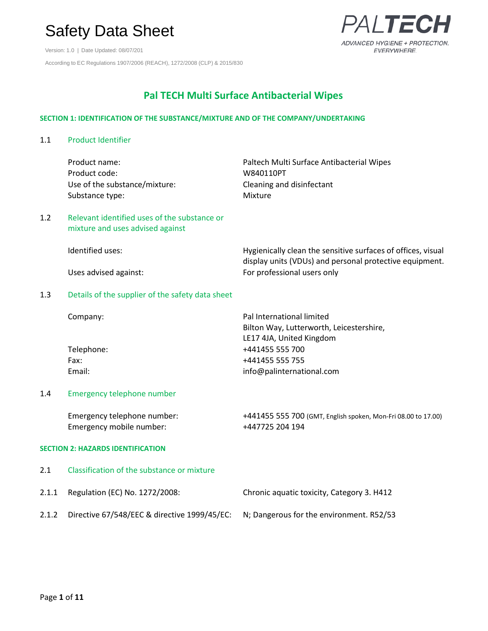Version: 1.0 | Date Updated: 08/07/201 According to EC Regulations 1907/2006 (REACH), 1272/2008 (CLP) & 2015/830

### $ITF$ ADVANCED HYGIENE + PROTECTION. EVERYWHERE.

### **Pal TECH Multi Surface Antibacterial Wipes**

#### **SECTION 1: IDENTIFICATION OF THE SUBSTANCE/MIXTURE AND OF THE COMPANY/UNDERTAKING**

1.1 Product Identifier

|       | Product name:<br>Product code:<br>Use of the substance/mixture:<br>Substance type: | Paltech Multi Surface Antibacterial Wipes<br>W840110PT<br>Cleaning and disinfectant<br>Mixture    |
|-------|------------------------------------------------------------------------------------|---------------------------------------------------------------------------------------------------|
| 1.2   | Relevant identified uses of the substance or<br>mixture and uses advised against   |                                                                                                   |
|       | Identified uses:                                                                   | Hygienically clean the sensitive surfaces of offices, visual                                      |
|       | Uses advised against:                                                              | display units (VDUs) and personal protective equipment.<br>For professional users only            |
| 1.3   | Details of the supplier of the safety data sheet                                   |                                                                                                   |
|       | Company:                                                                           | Pal International limited<br>Bilton Way, Lutterworth, Leicestershire,<br>LE17 4JA, United Kingdom |
|       | Telephone:                                                                         | +441455 555 700                                                                                   |
|       | Fax:                                                                               | +441455 555 755                                                                                   |
|       | Email:                                                                             | info@palinternational.com                                                                         |
| 1.4   | Emergency telephone number                                                         |                                                                                                   |
|       | Emergency telephone number:<br>Emergency mobile number:                            | +441455 555 700 (GMT, English spoken, Mon-Fri 08.00 to 17.00)<br>+447725 204 194                  |
|       | <b>SECTION 2: HAZARDS IDENTIFICATION</b>                                           |                                                                                                   |
| 2.1   | Classification of the substance or mixture                                         |                                                                                                   |
| 2.1.1 | Regulation (EC) No. 1272/2008:                                                     | Chronic aquatic toxicity, Category 3. H412                                                        |
| 2.1.2 | Directive 67/548/EEC & directive 1999/45/EC:                                       | N; Dangerous for the environment. R52/53                                                          |
|       |                                                                                    |                                                                                                   |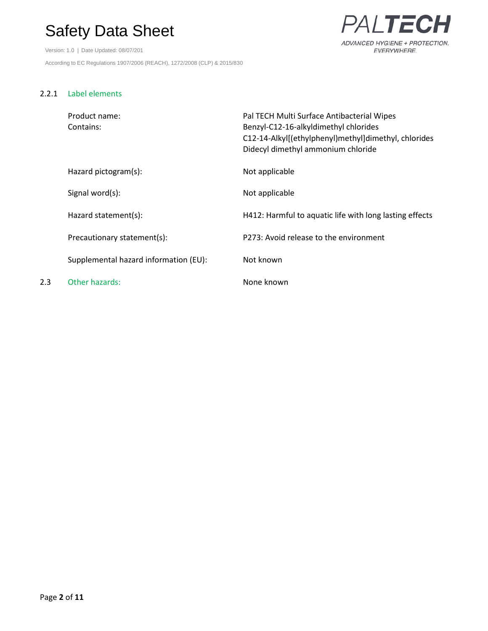Version: 1.0 | Date Updated: 08/07/201 According to EC Regulations 1907/2006 (REACH), 1272/2008 (CLP) & 2015/830



#### 2.2.1 Label elements

|     | Product name:<br>Contains:            | Pal TECH Multi Surface Antibacterial Wipes<br>Benzyl-C12-16-alkyldimethyl chlorides<br>C12-14-Alkyl[(ethylphenyl)methyl]dimethyl, chlorides<br>Didecyl dimethyl ammonium chloride |
|-----|---------------------------------------|-----------------------------------------------------------------------------------------------------------------------------------------------------------------------------------|
|     | Hazard pictogram(s):                  | Not applicable                                                                                                                                                                    |
|     | Signal word(s):                       | Not applicable                                                                                                                                                                    |
|     | Hazard statement(s):                  | H412: Harmful to aquatic life with long lasting effects                                                                                                                           |
|     | Precautionary statement(s):           | P273: Avoid release to the environment                                                                                                                                            |
|     | Supplemental hazard information (EU): | Not known                                                                                                                                                                         |
| 2.3 | Other hazards:                        | None known                                                                                                                                                                        |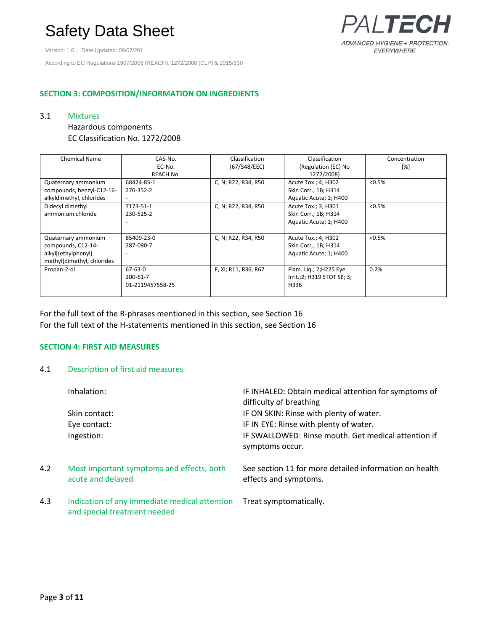Version: 1.0 | Date Updated: 08/07/201

According to EC Regulations 1907/2006 (REACH), 1272/2008 (CLP) & 2015/830

#### **SECTION 3: COMPOSITION/INFORMATION ON INGREDIENTS**

#### 3.1 Mixtures

#### Hazardous components EC Classification No. 1272/2008

| <b>Chemical Name</b>       | CAS-No.          | Classification       | Classification             | Concentration |
|----------------------------|------------------|----------------------|----------------------------|---------------|
|                            | EC-No.           | (67/548/EEC)         | (Regulation (EC) No        | [%]           |
|                            | REACH No.        |                      | 1272/2008)                 |               |
| Quaternary ammonium        | 68424-85-1       | C, N; R22, R34, R50  | Acute Tox.; 4; H302        | < 0.5%        |
| compounds, benzyl-C12-16-  | 270-352-2        |                      | Skin Corr.; 1B; H314       |               |
| alkyldimethyl, chlorides   |                  |                      | Aquatic Acute; 1; H400     |               |
| Didecyl dimethyl           | 7173-51-1        | C, N; R22, R34, R50  | Acute Tox.; 3; H301        | < 0.5%        |
| ammonium chloride          | 230-525-2        |                      | Skin Corr.; 1B; H314       |               |
|                            |                  |                      | Aquatic Acute; 1; H400     |               |
|                            |                  |                      |                            |               |
| Quaternary ammonium        | 85409-23-0       | C, N; R22, R34, R50  | Acute Tox.; 4; H302        | < 0.5%        |
| compounds, C12-14-         | 287-090-7        |                      | Skin Corr.; 1B; H314       |               |
| alkyl[(ethylphenyl)        |                  |                      | Aquatic Acute; 1; H400     |               |
| methylldimethyl, chlorides |                  |                      |                            |               |
| Propan-2-ol                | $67 - 63 - 0$    | F, Xi; R11, R36, R67 | Flam. Lig.; 2; H225 Eye    | 0.2%          |
|                            | 200-61-7         |                      | Irrit.;2; H319 STOT SE; 3; |               |
|                            | 01-2119457558-25 |                      | H336                       |               |
|                            |                  |                      |                            |               |

For the full text of the R-phrases mentioned in this section, see Section 16 For the full text of the H-statements mentioned in this section, see Section 16

#### **SECTION 4: FIRST AID MEASURES**

#### 4.1 Description of first aid measures

|     | Inhalation:<br>Skin contact:<br>Eye contact:                                  | IF INHALED: Obtain medical attention for symptoms of<br>difficulty of breathing<br>IF ON SKIN: Rinse with plenty of water.<br>IF IN EYE: Rinse with plenty of water. |
|-----|-------------------------------------------------------------------------------|----------------------------------------------------------------------------------------------------------------------------------------------------------------------|
|     | Ingestion:                                                                    | IF SWALLOWED: Rinse mouth. Get medical attention if<br>symptoms occur.                                                                                               |
| 4.2 | Most important symptoms and effects, both<br>acute and delayed                | See section 11 for more detailed information on health<br>effects and symptoms.                                                                                      |
| 4.3 | Indication of any immediate medical attention<br>and special treatment needed | Treat symptomatically.                                                                                                                                               |

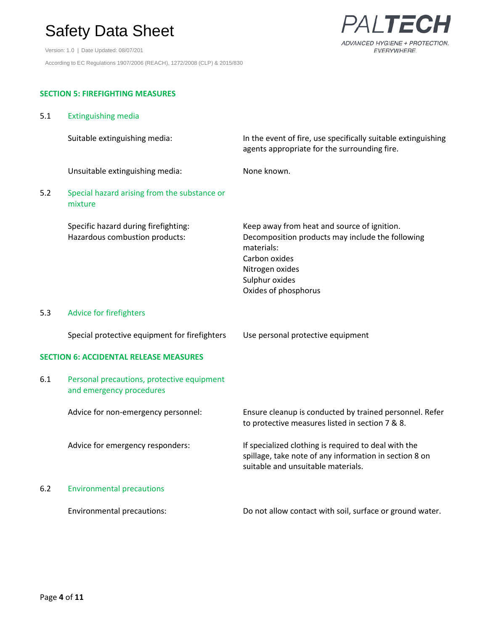Version: 1.0 | Date Updated: 08/07/201 According to EC Regulations 1907/2006 (REACH), 1272/2008 (CLP) & 2015/830



### **SECTION 5: FIREFIGHTING MEASURES**

| 5.1 | <b>Extinguishing media</b>                                             |                                                                                                                                                                                             |
|-----|------------------------------------------------------------------------|---------------------------------------------------------------------------------------------------------------------------------------------------------------------------------------------|
|     | Suitable extinguishing media:                                          | In the event of fire, use specifically suitable extinguishing<br>agents appropriate for the surrounding fire.                                                                               |
|     | Unsuitable extinguishing media:                                        | None known.                                                                                                                                                                                 |
| 5.2 | Special hazard arising from the substance or<br>mixture                |                                                                                                                                                                                             |
|     | Specific hazard during firefighting:<br>Hazardous combustion products: | Keep away from heat and source of ignition.<br>Decomposition products may include the following<br>materials:<br>Carbon oxides<br>Nitrogen oxides<br>Sulphur oxides<br>Oxides of phosphorus |
| 5.3 | Advice for firefighters                                                |                                                                                                                                                                                             |
|     | Special protective equipment for firefighters                          | Use personal protective equipment                                                                                                                                                           |
|     | <b>SECTION 6: ACCIDENTAL RELEASE MEASURES</b>                          |                                                                                                                                                                                             |
| 6.1 | Personal precautions, protective equipment<br>and emergency procedures |                                                                                                                                                                                             |
|     | Advice for non-emergency personnel:                                    | Ensure cleanup is conducted by trained personnel. Refer<br>to protective measures listed in section 7 & 8.                                                                                  |
|     | Advice for emergency responders:                                       | If specialized clothing is required to deal with the<br>spillage, take note of any information in section 8 on<br>suitable and unsuitable materials.                                        |
| 6.2 | <b>Environmental precautions</b>                                       |                                                                                                                                                                                             |
|     | Environmental precautions:                                             | Do not allow contact with soil, surface or ground water.                                                                                                                                    |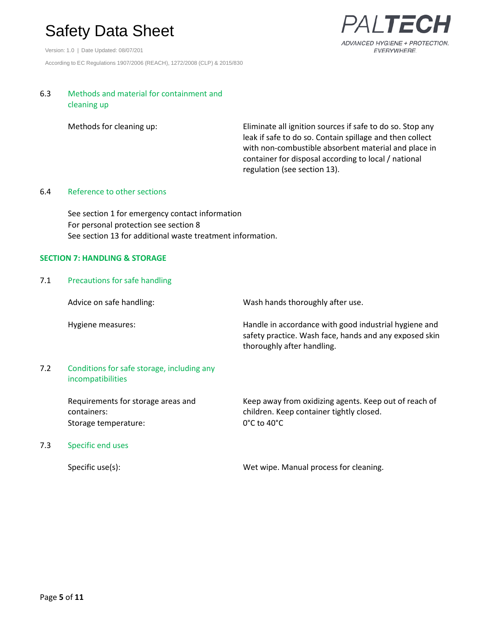Version: 1.0 | Date Updated: 08/07/201 According to EC Regulations 1907/2006 (REACH), 1272/2008 (CLP) & 2015/830



#### 6.3 Methods and material for containment and cleaning up

Methods for cleaning up: Eliminate all ignition sources if safe to do so. Stop any leak if safe to do so. Contain spillage and then collect with non-combustible absorbent material and place in container for disposal according to local / national regulation (see section 13).

#### 6.4 Reference to other sections

See section 1 for emergency contact information For personal protection see section 8 See section 13 for additional waste treatment information.

#### **SECTION 7: HANDLING & STORAGE**

#### 7.1 Precautions for safe handling

Advice on safe handling: Wash hands thoroughly after use. Hygiene measures: Handle in accordance with good industrial hygiene and safety practice. Wash face, hands and any exposed skin thoroughly after handling. 7.2 Conditions for safe storage, including any incompatibilities Requirements for storage areas and containers: Keep away from oxidizing agents. Keep out of reach of children. Keep container tightly closed. Storage temperature: 0°C to 40°C 7.3 Specific end uses

Specific use(s): Specific use(s): Wet wipe. Manual process for cleaning.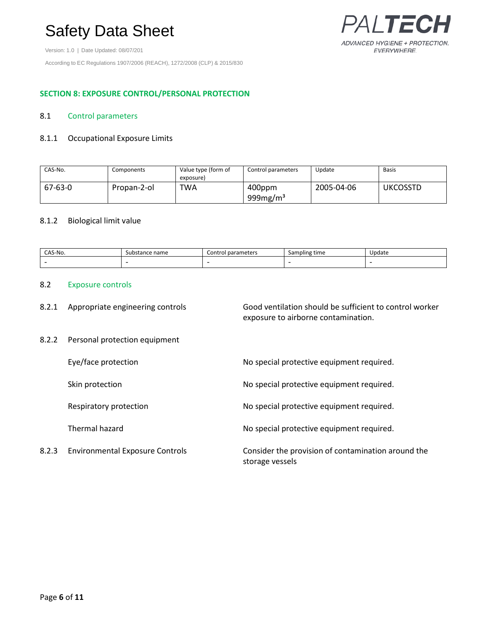Version: 1.0 | Date Updated: 08/07/201

According to EC Regulations 1907/2006 (REACH), 1272/2008 (CLP) & 2015/830



#### **SECTION 8: EXPOSURE CONTROL/PERSONAL PROTECTION**

#### 8.1 Control parameters

#### 8.1.1 Occupational Exposure Limits

| CAS-No. | Components  | Value type (form of<br>exposure) | Control parameters    | Update     | Basis           |
|---------|-------------|----------------------------------|-----------------------|------------|-----------------|
| 67-63-0 | Propan-2-ol | <b>TWA</b>                       | 400ppm<br>999 $mg/m3$ | 2005-04-06 | <b>UKCOSSTD</b> |

#### 8.1.2 Biological limit value

| CAS-No. | bstance name<br>sub | parameters<br>Control | Sampling time<br>. . | Update |
|---------|---------------------|-----------------------|----------------------|--------|
|         |                     |                       |                      |        |

#### 8.2 Exposure controls

| 8.2.1 Appropriate engineering controls | Good ventilation should be sufficient to control worker |
|----------------------------------------|---------------------------------------------------------|
|                                        | exposure to airborne contamination.                     |
|                                        |                                                         |

#### 8.2.2 Personal protection equipment

Eye/face protection **No special protective equipment required.** Skin protection **No special protective equipment required.** No special protective equipment required. Respiratory protection No special protective equipment required. Thermal hazard **No special protective equipment required.** No special protective equipment required. 8.2.3 Environmental Exposure Controls Consider the provision of contamination around the storage vessels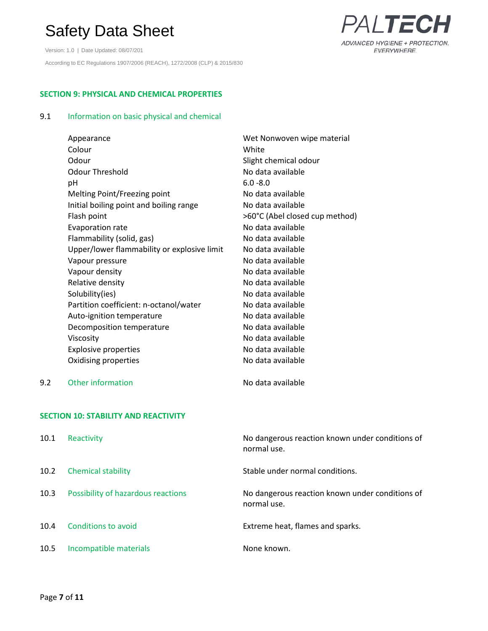Version: 1.0 | Date Updated: 08/07/201 According to EC Regulations 1907/2006 (REACH), 1272/2008 (CLP) & 2015/830



### **SECTION 9: PHYSICAL AND CHEMICAL PROPERTIES**

#### 9.1 Information on basic physical and chemical

| Appearance                                  | Wet Nonwoven wipe material     |
|---------------------------------------------|--------------------------------|
| Colour                                      | White                          |
| Odour                                       | Slight chemical odour          |
| Odour Threshold                             | No data available              |
| рH                                          | $6.0 - 8.0$                    |
| Melting Point/Freezing point                | No data available              |
| Initial boiling point and boiling range     | No data available              |
| Flash point                                 | >60°C (Abel closed cup method) |
| Evaporation rate                            | No data available              |
| Flammability (solid, gas)                   | No data available              |
| Upper/lower flammability or explosive limit | No data available              |
| Vapour pressure                             | No data available              |
| Vapour density                              | No data available              |
| Relative density                            | No data available              |
| Solubility(ies)                             | No data available              |
| Partition coefficient: n-octanol/water      | No data available              |
| Auto-ignition temperature                   | No data available              |
| Decomposition temperature                   | No data available              |
| Viscosity                                   | No data available              |
| <b>Explosive properties</b>                 | No data available              |
| Oxidising properties                        | No data available              |

9.2 Other information **Construction** No data available

#### **SECTION 10: STABILITY AND REACTIVITY**

| 10.1 | Reactivity                         | No dangerous reaction known under conditions of<br>normal use. |
|------|------------------------------------|----------------------------------------------------------------|
| 10.2 | <b>Chemical stability</b>          | Stable under normal conditions.                                |
| 10.3 | Possibility of hazardous reactions | No dangerous reaction known under conditions of<br>normal use. |
| 10.4 | Conditions to avoid                | Extreme heat, flames and sparks.                               |
| 10.5 | Incompatible materials             | None known.                                                    |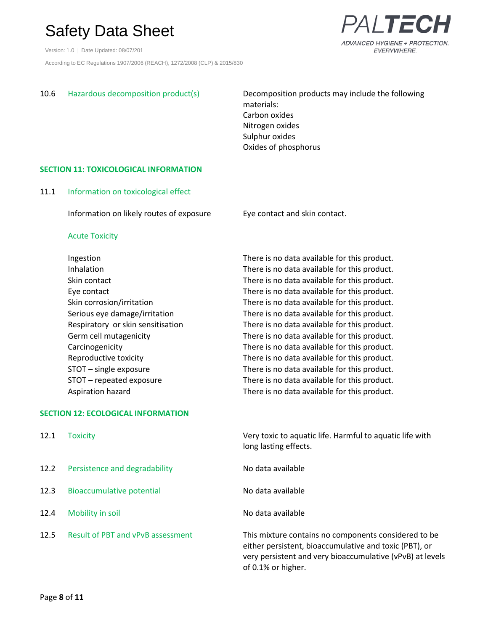Version: 1.0 | Date Updated: 08/07/201 According to EC Regulations 1907/2006 (REACH), 1272/2008 (CLP) & 2015/830



10.6 Hazardous decomposition product(s) Decomposition products may include the following materials: Carbon oxides Nitrogen oxides Sulphur oxides Oxides of phosphorus

#### **SECTION 11: TOXICOLOGICAL INFORMATION**

11.1 Information on toxicological effect

Information on likely routes of exposure Eye contact and skin contact.

#### Acute Toxicity

Ingestion There is no data available for this product. Inhalation There is no data available for this product. Skin contact Skin contact There is no data available for this product. Eye contact There is no data available for this product. Skin corrosion/irritation There is no data available for this product. Serious eye damage/irritation There is no data available for this product. Respiratory or skin sensitisation There is no data available for this product. Germ cell mutagenicity There is no data available for this product. Carcinogenicity There is no data available for this product. Reproductive toxicity There is no data available for this product. STOT – single exposure There is no data available for this product. STOT – repeated exposure There is no data available for this product. Aspiration hazard There is no data available for this product.

#### **SECTION 12: ECOLOGICAL INFORMATION**

| 12.1 | Toxicity                                 | Very toxic to aquatic life. Harmful to aquatic life with<br>long lasting effects.                                                                                                                 |
|------|------------------------------------------|---------------------------------------------------------------------------------------------------------------------------------------------------------------------------------------------------|
| 12.2 | Persistence and degradability            | No data available                                                                                                                                                                                 |
| 12.3 | Bioaccumulative potential                | No data available                                                                                                                                                                                 |
| 12.4 | Mobility in soil                         | No data available                                                                                                                                                                                 |
| 12.5 | <b>Result of PBT and vPvB assessment</b> | This mixture contains no components considered to be<br>either persistent, bioaccumulative and toxic (PBT), or<br>very persistent and very bioaccumulative (vPvB) at levels<br>of 0.1% or higher. |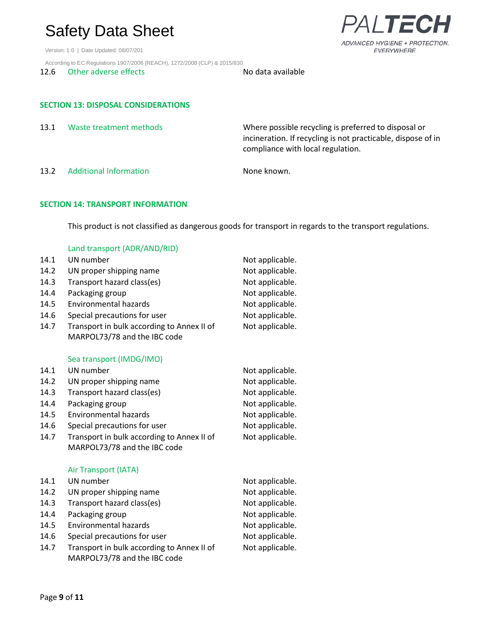Version: 1.0 | Date Updated: 08/07/201

According to EC Regulations 1907/2006 (REACH), 1272/2008 (CLP) & 2015/830

12.6 Other adverse effects No data available

#### **SECTION 13: DISPOSAL CONSIDERATIONS**

| 13.1 | Waste treatment methods       | Where possible recycling is preferred to disposal or<br>incineration. If recycling is not practicable, dispose of in<br>compliance with local regulation. |
|------|-------------------------------|-----------------------------------------------------------------------------------------------------------------------------------------------------------|
| 13.2 | <b>Additional Information</b> | None known.                                                                                                                                               |

**SECTION 14: TRANSPORT INFORMATION**

This product is not classified as dangerous goods for transport in regards to the transport regulations.

#### Land transport (ADR/AND/RID)

| 14.1 | UN number                                  | Not applicable. |
|------|--------------------------------------------|-----------------|
| 14.2 | UN proper shipping name                    | Not applicable. |
| 14.3 | Transport hazard class(es)                 | Not applicable. |
| 14.4 | Packaging group                            | Not applicable. |
| 14.5 | <b>Environmental hazards</b>               | Not applicable. |
| 14.6 | Special precautions for user               | Not applicable. |
| 14.7 | Transport in bulk according to Annex II of | Not applicable. |
|      | MARPOL73/78 and the IBC code               |                 |
|      | Sea transport (IMDG/IMO)                   |                 |
| 14.1 | UN number                                  | Not applicable. |
| 14.2 | UN proper shipping name                    | Not applicable. |
| 14.3 | Transport hazard class(es)                 | Not applicable. |
| 14.4 | Packaging group                            | Not applicable. |
| 14.5 | <b>Environmental hazards</b>               | Not applicable. |
| 14.6 | Special precautions for user               | Not applicable. |
| 14.7 | Transport in bulk according to Annex II of | Not applicable. |
|      | MARPOL73/78 and the IBC code               |                 |
|      | Air Transport (IATA)                       |                 |
| 14.1 | UN number                                  | Not applicable. |
| 14.2 | UN proper shipping name                    | Not applicable. |
| 14.3 | Transport hazard class(es)                 | Not applicable. |
| 14.4 | Packaging group                            | Not applicable. |
| 14.5 | Environmental hazards                      | Not applicable. |
| 14.6 | Special precautions for user               | Not applicable. |
| 14.7 | Transport in bulk according to Annex II of | Not applicable. |
|      | MARPOL73/78 and the IBC code               |                 |

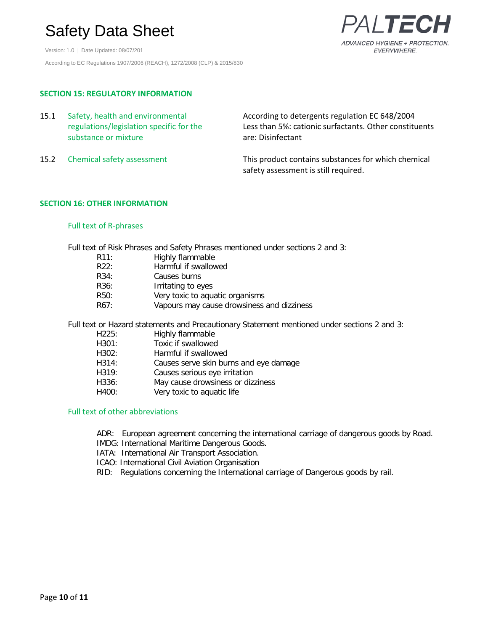Version: 1.0 | Date Updated: 08/07/201 According to EC Regulations 1907/2006 (REACH), 1272/2008 (CLP) & 2015/830



### **SECTION 15: REGULATORY INFORMATION**

| 15.1 | Safety, health and environmental<br>regulations/legislation specific for the<br>substance or mixture | According to detergents regulation EC 648/2004<br>Less than 5%: cationic surfactants. Other constituents<br>are: Disinfectant |
|------|------------------------------------------------------------------------------------------------------|-------------------------------------------------------------------------------------------------------------------------------|
| 15.2 | Chemical safety assessment                                                                           | This product contains substances for which chemical<br>safety assessment is still required.                                   |

#### **SECTION 16: OTHER INFORMATION**

#### Full text of R-phrases

Full text of Risk Phrases and Safety Phrases mentioned under sections 2 and 3:

| R11:              | Highly flammable                           |
|-------------------|--------------------------------------------|
| R22:              | Harmful if swallowed                       |
| R34:              | Causes burns                               |
| R <sub>36</sub> : | Irritating to eyes                         |
| R50:              | Very toxic to aquatic organisms            |
| R67:              | Vapours may cause drowsiness and dizziness |
|                   |                                            |

Full text or Hazard statements and Precautionary Statement mentioned under sections 2 and 3:

| H225: | Highly flammable                       |
|-------|----------------------------------------|
| H301: | Toxic if swallowed                     |
| H302: | Harmful if swallowed                   |
| H314: | Causes serve skin burns and eye damage |
| H319: | Causes serious eye irritation          |
| H336: | May cause drowsiness or dizziness      |
| H400: | Very toxic to aquatic life             |
|       |                                        |

#### Full text of other abbreviations

- ADR: European agreement concerning the international carriage of dangerous goods by Road.
- IMDG: International Maritime Dangerous Goods.
- IATA: International Air Transport Association.
- ICAO: International Civil Aviation Organisation
- RID: Regulations concerning the International carriage of Dangerous goods by rail.